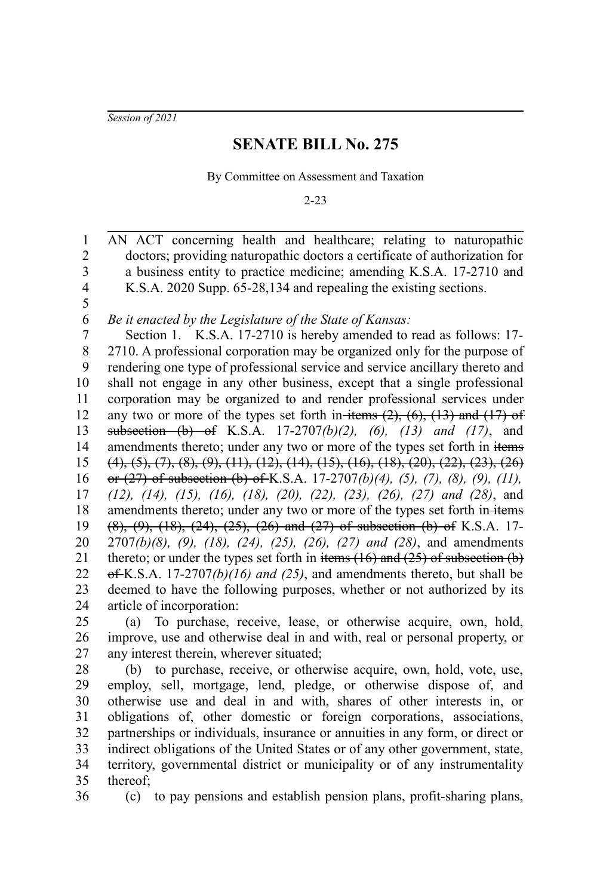*Session of 2021*

## **SENATE BILL No. 275**

By Committee on Assessment and Taxation

2-23

AN ACT concerning health and healthcare; relating to naturopathic doctors; providing naturopathic doctors a certificate of authorization for a business entity to practice medicine; amending K.S.A. 17-2710 and K.S.A. 2020 Supp. 65-28,134 and repealing the existing sections. 1 2 3 4 5

*Be it enacted by the Legislature of the State of Kansas:* 6

Section 1. K.S.A. 17-2710 is hereby amended to read as follows: 17- 2710. A professional corporation may be organized only for the purpose of rendering one type of professional service and service ancillary thereto and shall not engage in any other business, except that a single professional corporation may be organized to and render professional services under any two or more of the types set forth in-items  $(2)$ ,  $(6)$ ,  $(13)$  and  $(17)$  of subsection (b) of K.S.A. 17-2707*(b)(2), (6), (13) and (17)*, and amendments thereto; under any two or more of the types set forth in items  $(4)$ ,  $(5)$ ,  $(7)$ ,  $(8)$ ,  $(9)$ ,  $(11)$ ,  $(12)$ ,  $(14)$ ,  $(15)$ ,  $(16)$ ,  $(18)$ ,  $(20)$ ,  $(22)$ ,  $(23)$ ,  $(26)$ or (27) of subsection (b) of K.S.A. 17-2707*(b)(4), (5), (7), (8), (9), (11), (12), (14), (15), (16), (18), (20), (22), (23), (26), (27) and (28)*, and amendments thereto; under any two or more of the types set forth in-items  $(8)$ ,  $(9)$ ,  $(18)$ ,  $(24)$ ,  $(25)$ ,  $(26)$  and  $(27)$  of subsection  $(b)$  of K.S.A. 17-2707*(b)(8), (9), (18), (24), (25), (26), (27) and (28)*, and amendments thereto; or under the types set forth in items  $(16)$  and  $(25)$  of subsection  $(b)$ of K.S.A. 17-2707*(b)(16) and (25)*, and amendments thereto, but shall be deemed to have the following purposes, whether or not authorized by its article of incorporation: 7 8 9 10 11 12 13 14 15 16 17 18 19 20 21 22 23 24

(a) To purchase, receive, lease, or otherwise acquire, own, hold, improve, use and otherwise deal in and with, real or personal property, or any interest therein, wherever situated; 25 26 27

(b) to purchase, receive, or otherwise acquire, own, hold, vote, use, employ, sell, mortgage, lend, pledge, or otherwise dispose of, and otherwise use and deal in and with, shares of other interests in, or obligations of, other domestic or foreign corporations, associations, partnerships or individuals, insurance or annuities in any form, or direct or indirect obligations of the United States or of any other government, state, territory, governmental district or municipality or of any instrumentality thereof; 28 29 30 31 32 33 34 35

36

(c) to pay pensions and establish pension plans, profit-sharing plans,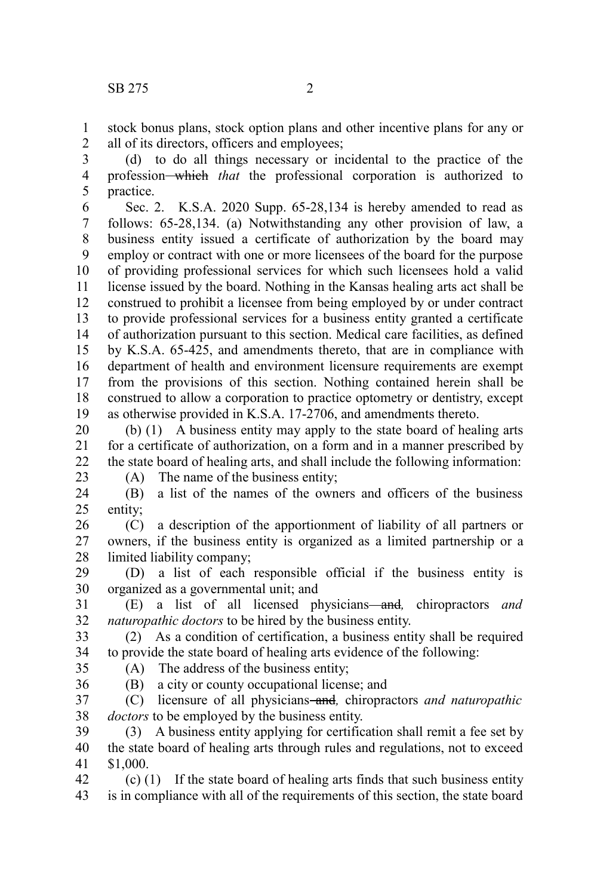stock bonus plans, stock option plans and other incentive plans for any or all of its directors, officers and employees; 1 2

(d) to do all things necessary or incidental to the practice of the profession which *that* the professional corporation is authorized to practice. 3 4 5

Sec. 2. K.S.A. 2020 Supp. 65-28,134 is hereby amended to read as follows: 65-28,134. (a) Notwithstanding any other provision of law, a business entity issued a certificate of authorization by the board may employ or contract with one or more licensees of the board for the purpose of providing professional services for which such licensees hold a valid license issued by the board. Nothing in the Kansas healing arts act shall be construed to prohibit a licensee from being employed by or under contract to provide professional services for a business entity granted a certificate of authorization pursuant to this section. Medical care facilities, as defined by K.S.A. 65-425, and amendments thereto, that are in compliance with department of health and environment licensure requirements are exempt from the provisions of this section. Nothing contained herein shall be construed to allow a corporation to practice optometry or dentistry, except as otherwise provided in K.S.A. 17-2706, and amendments thereto. 6 7 8 9 10 11 12 13 14 15 16 17 18 19

(b) (1) A business entity may apply to the state board of healing arts for a certificate of authorization, on a form and in a manner prescribed by the state board of healing arts, and shall include the following information: 20 21 22

23

(A) The name of the business entity;

(B) a list of the names of the owners and officers of the business entity; 24 25

(C) a description of the apportionment of liability of all partners or owners, if the business entity is organized as a limited partnership or a limited liability company; 26 27 28

(D) a list of each responsible official if the business entity is organized as a governmental unit; and 29 30

(E) a list of all licensed physicians and*,* chiropractors *and naturopathic doctors* to be hired by the business entity. 31 32

(2) As a condition of certification, a business entity shall be required to provide the state board of healing arts evidence of the following: 33 34

35 36 (A) The address of the business entity; (B) a city or county occupational license; and

(C) licensure of all physicians and*,* chiropractors *and naturopathic doctors* to be employed by the business entity. 37 38

(3) A business entity applying for certification shall remit a fee set by the state board of healing arts through rules and regulations, not to exceed \$1,000. 39 40 41

(c) (1) If the state board of healing arts finds that such business entity is in compliance with all of the requirements of this section, the state board 42 43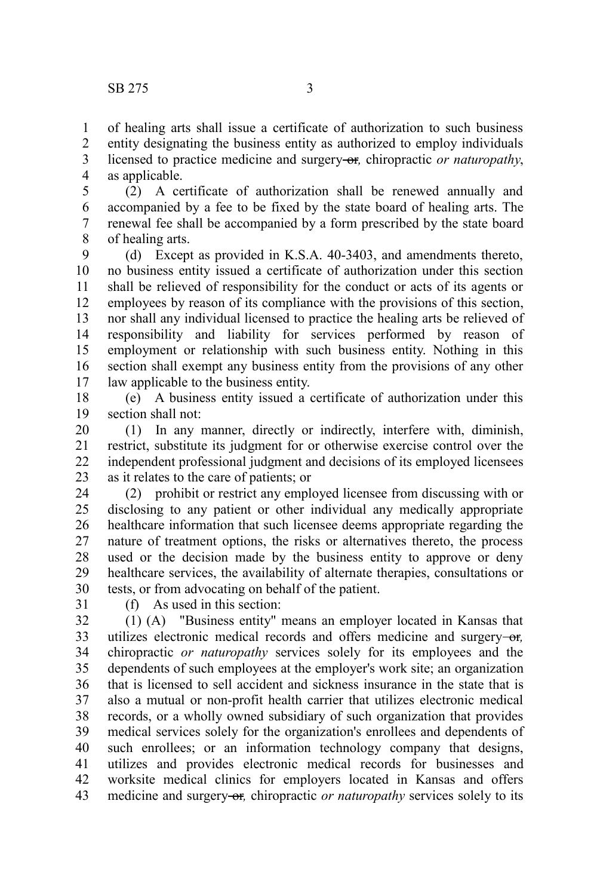of healing arts shall issue a certificate of authorization to such business entity designating the business entity as authorized to employ individuals licensed to practice medicine and surgery-or, chiropractic *or naturopathy*, as applicable. 1 2 3 4

(2) A certificate of authorization shall be renewed annually and accompanied by a fee to be fixed by the state board of healing arts. The renewal fee shall be accompanied by a form prescribed by the state board of healing arts. 5 6 7 8

(d) Except as provided in K.S.A. 40-3403, and amendments thereto, no business entity issued a certificate of authorization under this section shall be relieved of responsibility for the conduct or acts of its agents or employees by reason of its compliance with the provisions of this section, nor shall any individual licensed to practice the healing arts be relieved of responsibility and liability for services performed by reason of employment or relationship with such business entity. Nothing in this section shall exempt any business entity from the provisions of any other law applicable to the business entity. 9 10 11 12 13 14 15 16 17

(e) A business entity issued a certificate of authorization under this section shall not: 18 19

(1) In any manner, directly or indirectly, interfere with, diminish, restrict, substitute its judgment for or otherwise exercise control over the independent professional judgment and decisions of its employed licensees as it relates to the care of patients; or 20 21 22 23

(2) prohibit or restrict any employed licensee from discussing with or disclosing to any patient or other individual any medically appropriate healthcare information that such licensee deems appropriate regarding the nature of treatment options, the risks or alternatives thereto, the process used or the decision made by the business entity to approve or deny healthcare services, the availability of alternate therapies, consultations or tests, or from advocating on behalf of the patient. 24 25 26 27 28 29 30

31

(f) As used in this section:

(1) (A) "Business entity" means an employer located in Kansas that utilizes electronic medical records and offers medicine and surgery-or, chiropractic *or naturopathy* services solely for its employees and the dependents of such employees at the employer's work site; an organization that is licensed to sell accident and sickness insurance in the state that is also a mutual or non-profit health carrier that utilizes electronic medical records, or a wholly owned subsidiary of such organization that provides medical services solely for the organization's enrollees and dependents of such enrollees; or an information technology company that designs, utilizes and provides electronic medical records for businesses and worksite medical clinics for employers located in Kansas and offers medicine and surgery or, chiropractic *or naturopathy* services solely to its 32 33 34 35 36 37 38 39 40 41 42 43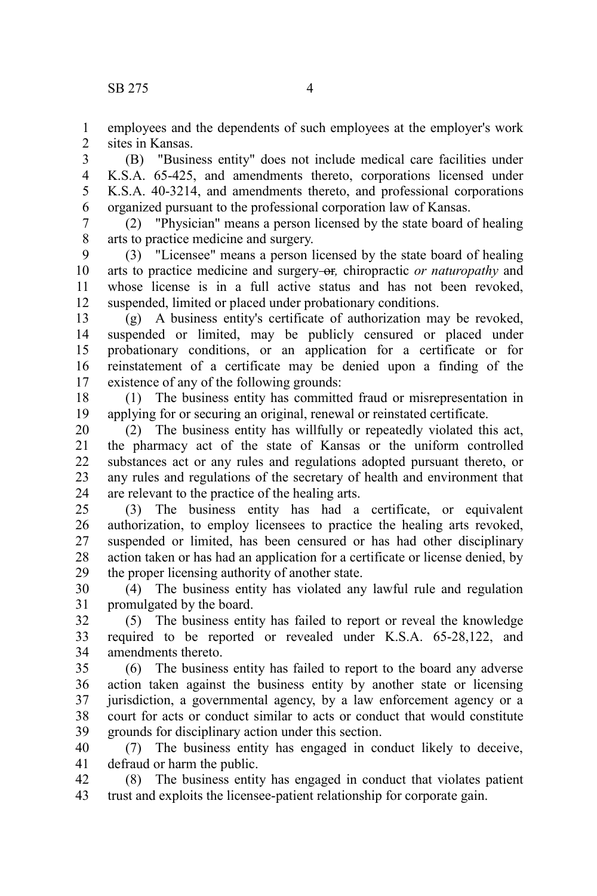1 2 employees and the dependents of such employees at the employer's work sites in Kansas.

(B) "Business entity" does not include medical care facilities under K.S.A. 65-425, and amendments thereto, corporations licensed under K.S.A. 40-3214, and amendments thereto, and professional corporations organized pursuant to the professional corporation law of Kansas. 3 4 5 6

(2) "Physician" means a person licensed by the state board of healing arts to practice medicine and surgery. 7 8

(3) "Licensee" means a person licensed by the state board of healing arts to practice medicine and surgery-or, chiropractic *or naturopathy* and whose license is in a full active status and has not been revoked. suspended, limited or placed under probationary conditions. 9 10 11 12

(g) A business entity's certificate of authorization may be revoked, suspended or limited, may be publicly censured or placed under probationary conditions, or an application for a certificate or for reinstatement of a certificate may be denied upon a finding of the existence of any of the following grounds: 13 14 15 16 17

(1) The business entity has committed fraud or misrepresentation in applying for or securing an original, renewal or reinstated certificate. 18 19

(2) The business entity has willfully or repeatedly violated this act, the pharmacy act of the state of Kansas or the uniform controlled substances act or any rules and regulations adopted pursuant thereto, or any rules and regulations of the secretary of health and environment that are relevant to the practice of the healing arts. 20 21 22 23 24

(3) The business entity has had a certificate, or equivalent authorization, to employ licensees to practice the healing arts revoked, suspended or limited, has been censured or has had other disciplinary action taken or has had an application for a certificate or license denied, by the proper licensing authority of another state. 25 26 27 28 29

(4) The business entity has violated any lawful rule and regulation promulgated by the board. 30 31

(5) The business entity has failed to report or reveal the knowledge required to be reported or revealed under K.S.A. 65-28,122, and amendments thereto. 32 33 34

(6) The business entity has failed to report to the board any adverse action taken against the business entity by another state or licensing jurisdiction, a governmental agency, by a law enforcement agency or a court for acts or conduct similar to acts or conduct that would constitute grounds for disciplinary action under this section. 35 36 37 38 39

(7) The business entity has engaged in conduct likely to deceive, defraud or harm the public. 40 41

(8) The business entity has engaged in conduct that violates patient trust and exploits the licensee-patient relationship for corporate gain. 42 43